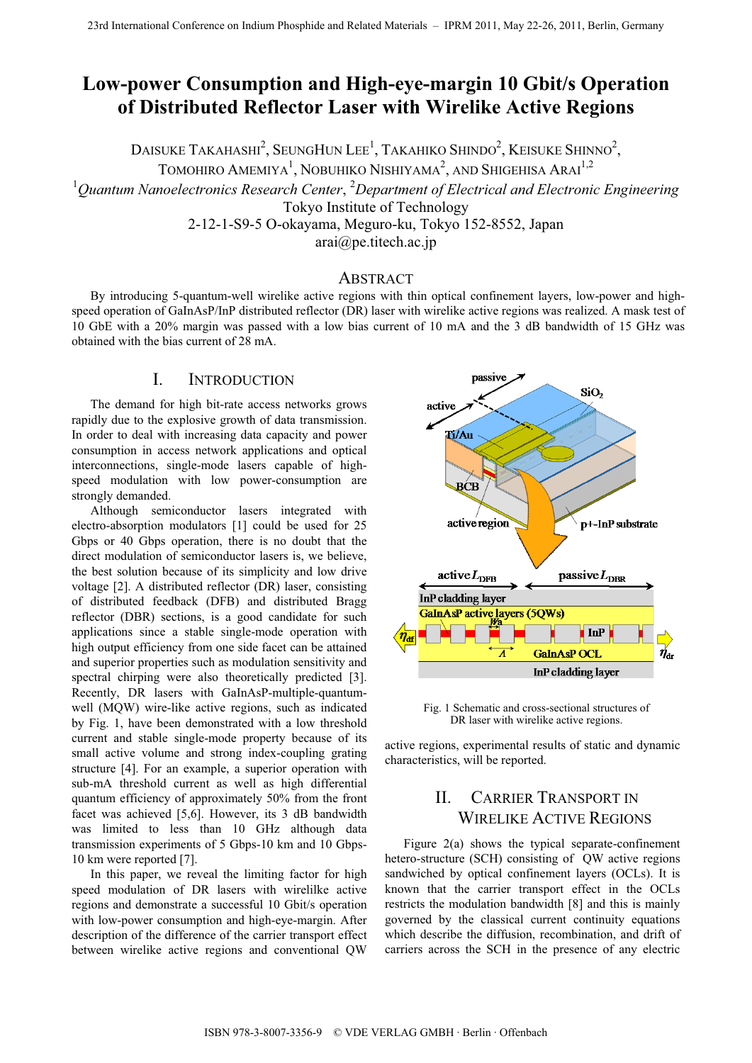# **Low-power Consumption and High-eye-margin 10 Gbit/s Operation of Distributed Reflector Laser with Wirelike Active Regions**

DAISUKE TAKAHASHI $^2$ , SeungHun Lee $^1$ , Takahiko Shindo $^2$ , Keisuke Shinno $^2$ ,

TOMOHIRO AMEMIYA<sup>1</sup>, NOBUHIKO NISHIYAMA<sup>2</sup>, AND SHIGEHISA ARAI<sup>1,2</sup>

<sup>1</sup>Quantum Nanoelectronics Research Center, <sup>2</sup>Department of Electrical and Electronic Engineering

Tokyo Institute of Technology

2-12-1-S9-5 O-okayama, Meguro-ku, Tokyo 152-8552, Japan

arai@pe.titech.ac.jp

### ABSTRACT

By introducing 5-quantum-well wirelike active regions with thin optical confinement layers, low-power and highspeed operation of GaInAsP/InP distributed reflector (DR) laser with wirelike active regions was realized. A mask test of 10 GbE with a 20% margin was passed with a low bias current of 10 mA and the 3 dB bandwidth of 15 GHz was obtained with the bias current of 28 mA.

### I. INTRODUCTION

The demand for high bit-rate access networks grows rapidly due to the explosive growth of data transmission. In order to deal with increasing data capacity and power consumption in access network applications and optical interconnections, single-mode lasers capable of highspeed modulation with low power-consumption are strongly demanded.

Although semiconductor lasers integrated with electro-absorption modulators [1] could be used for 25 Gbps or 40 Gbps operation, there is no doubt that the direct modulation of semiconductor lasers is, we believe, the best solution because of its simplicity and low drive voltage [2]. A distributed reflector (DR) laser, consisting of distributed feedback (DFB) and distributed Bragg reflector (DBR) sections, is a good candidate for such applications since a stable single-mode operation with high output efficiency from one side facet can be attained and superior properties such as modulation sensitivity and spectral chirping were also theoretically predicted [3]. Recently, DR lasers with GaInAsP-multiple-quantumwell (MQW) wire-like active regions, such as indicated by Fig. 1, have been demonstrated with a low threshold current and stable single-mode property because of its small active volume and strong index-coupling grating structure [4]. For an example, a superior operation with sub-mA threshold current as well as high differential quantum efficiency of approximately 50% from the front facet was achieved [5,6]. However, its 3 dB bandwidth was limited to less than 10 GHz although data transmission experiments of 5 Gbps-10 km and 10 Gbps-10 km were reported [7].

In this paper, we reveal the limiting factor for high speed modulation of DR lasers with wirelilke active regions and demonstrate a successful 10 Gbit/s operation with low-power consumption and high-eye-margin. After description of the difference of the carrier transport effect between wirelike active regions and conventional QW



Fig. 1 Schematic and cross-sectional structures of DR laser with wirelike active regions.

active regions, experimental results of static and dynamic characteristics, will be reported.

# II. CARRIER TRANSPORT IN WIRELIKE ACTIVE REGIONS

Figure 2(a) shows the typical separate-confinement hetero-structure (SCH) consisting of QW active regions sandwiched by optical confinement layers (OCLs). It is known that the carrier transport effect in the OCLs restricts the modulation bandwidth [8] and this is mainly governed by the classical current continuity equations which describe the diffusion, recombination, and drift of carriers across the SCH in the presence of any electric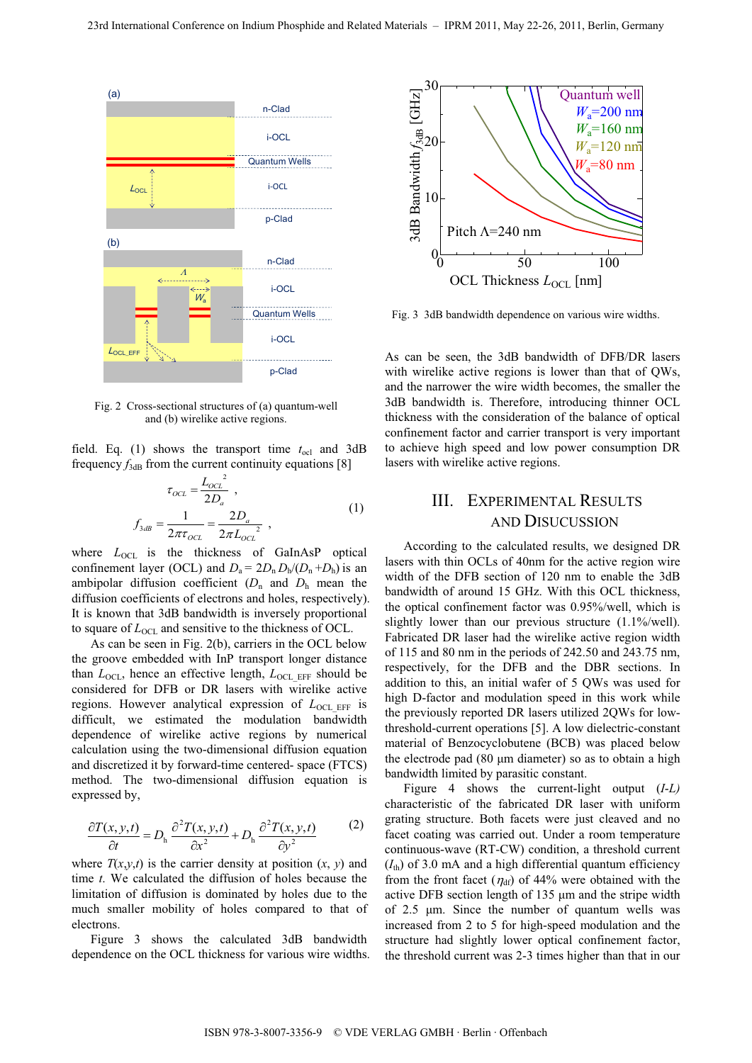

Fig. 2 Cross-sectional structures of (a) quantum-well and (b) wirelike active regions.

field. Eq. (1) shows the transport time  $t_{\text{ocl}}$  and 3dB frequency  $f_{3dB}$  from the current continuity equations [8]

$$
\tau_{OCL} = \frac{L_{OCL}^{2}}{2D_a},
$$
\n
$$
f_{3dB} = \frac{1}{2\pi\tau_{OCL}} = \frac{2D_a}{2\pi L_{OCL}^{2}},
$$
\n(1)

where  $L_{\text{OCL}}$  is the thickness of GaInAsP optical confinement layer (OCL) and  $D_a = 2D_n D_h/(D_n + D_h)$  is an ambipolar diffusion coefficient  $(D_n$  and  $D_h$  mean the diffusion coefficients of electrons and holes, respectively). It is known that 3dB bandwidth is inversely proportional to square of  $L_{\text{OCL}}$  and sensitive to the thickness of OCL.

As can be seen in Fig. 2(b), carriers in the OCL below the groove embedded with InP transport longer distance than  $L_{\text{OCL}}$ , hence an effective length,  $L_{\text{OCL EFF}}$  should be considered for DFB or DR lasers with wirelike active regions. However analytical expression of  $L_{\text{OCL EFF}}$  is difficult, we estimated the modulation bandwidth dependence of wirelike active regions by numerical calculation using the two-dimensional diffusion equation and discretized it by forward-time centered- space (FTCS) method. The two-dimensional diffusion equation is expressed by,

$$
\frac{\partial T(x, y, t)}{\partial t} = D_{\text{h}} \frac{\partial^2 T(x, y, t)}{\partial x^2} + D_{\text{h}} \frac{\partial^2 T(x, y, t)}{\partial y^2}
$$
(2)

where  $T(x, y, t)$  is the carrier density at position  $(x, y)$  and time *t*. We calculated the diffusion of holes because the limitation of diffusion is dominated by holes due to the much smaller mobility of holes compared to that of electrons.

Figure 3 shows the calculated 3dB bandwidth dependence on the OCL thickness for various wire widths.



Fig. 3 3dB bandwidth dependence on various wire widths.

As can be seen, the 3dB bandwidth of DFB/DR lasers with wirelike active regions is lower than that of OWs, and the narrower the wire width becomes, the smaller the 3dB bandwidth is. Therefore, introducing thinner OCL thickness with the consideration of the balance of optical confinement factor and carrier transport is very important to achieve high speed and low power consumption DR lasers with wirelike active regions.

## III. EXPERIMENTAL RESULTS AND DISUCUSSION

According to the calculated results, we designed DR lasers with thin OCLs of 40nm for the active region wire width of the DFB section of 120 nm to enable the 3dB bandwidth of around 15 GHz. With this OCL thickness, the optical confinement factor was 0.95%/well, which is slightly lower than our previous structure (1.1%/well). Fabricated DR laser had the wirelike active region width of 115 and 80 nm in the periods of 242.50 and 243.75 nm, respectively, for the DFB and the DBR sections. In addition to this, an initial wafer of 5 QWs was used for high D-factor and modulation speed in this work while the previously reported DR lasers utilized 2QWs for lowthreshold-current operations [5]. A low dielectric-constant material of Benzocyclobutene (BCB) was placed below the electrode pad (80 μm diameter) so as to obtain a high bandwidth limited by parasitic constant.

Figure 4 shows the current-light output (*I*-*L)* characteristic of the fabricated DR laser with uniform grating structure. Both facets were just cleaved and no facet coating was carried out. Under a room temperature continuous-wave (RT-CW) condition, a threshold current  $(I<sub>th</sub>)$  of 3.0 mA and a high differential quantum efficiency from the front facet ( $\eta_{df}$ ) of 44% were obtained with the active DFB section length of 135 μm and the stripe width of 2.5 μm. Since the number of quantum wells was increased from 2 to 5 for high-speed modulation and the structure had slightly lower optical confinement factor, the threshold current was 2-3 times higher than that in our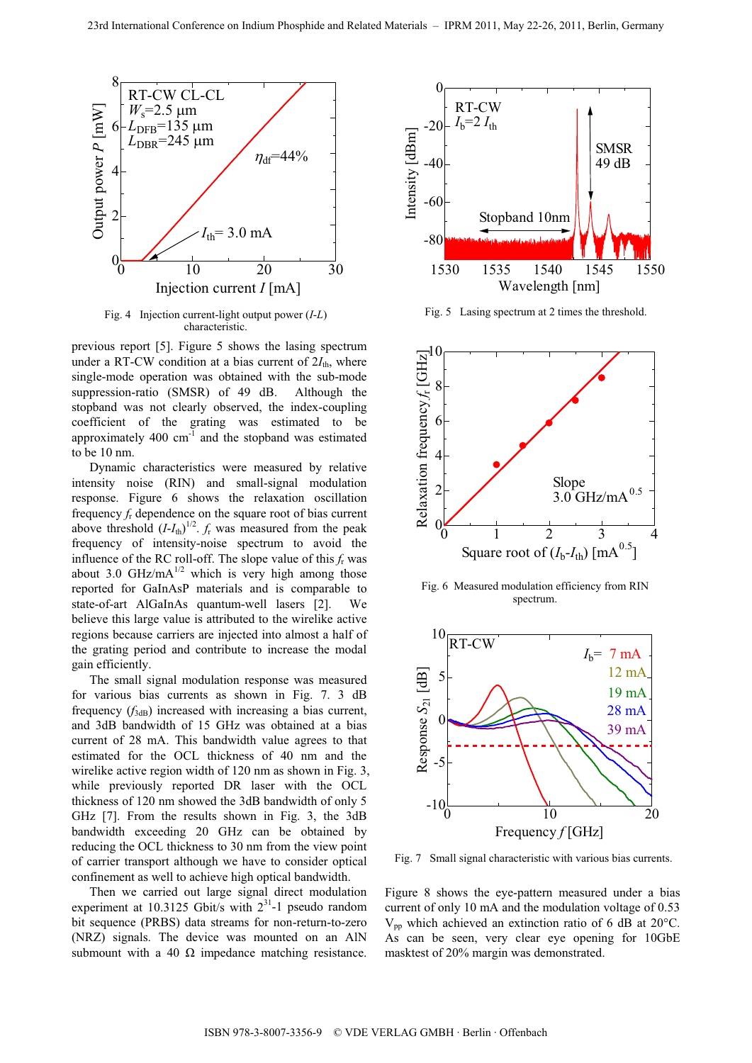

Fig. 4 Injection current-light output power (*I*-*L*) characteristic.

previous report [5]. Figure 5 shows the lasing spectrum under a RT-CW condition at a bias current of  $2I_{th}$ , where single-mode operation was obtained with the sub-mode suppression-ratio (SMSR) of 49 dB. Although the stopband was not clearly observed, the index-coupling coefficient of the grating was estimated to be approximately 400 cm-1 and the stopband was estimated to be 10 nm.

Dynamic characteristics were measured by relative intensity noise (RIN) and small-signal modulation response. Figure 6 shows the relaxation oscillation frequency *f*r dependence on the square root of bias current above threshold  $(I-I_{\text{th}})^{1/2}$ .  $f_{\text{r}}$  was measured from the peak frequency of intensity-noise spectrum to avoid the influence of the RC roll-off. The slope value of this *f*r was about 3.0 GHz/mA $^{1/2}$  which is very high among those reported for GaInAsP materials and is comparable to state-of-art AlGaInAs quantum-well lasers [2]. We believe this large value is attributed to the wirelike active regions because carriers are injected into almost a half of the grating period and contribute to increase the modal gain efficiently.

The small signal modulation response was measured for various bias currents as shown in Fig. 7. 3 dB frequency  $(f_{3dB})$  increased with increasing a bias current, and 3dB bandwidth of 15 GHz was obtained at a bias current of 28 mA. This bandwidth value agrees to that estimated for the OCL thickness of 40 nm and the wirelike active region width of 120 nm as shown in Fig. 3, while previously reported DR laser with the OCL thickness of 120 nm showed the 3dB bandwidth of only 5 GHz [7]. From the results shown in Fig. 3, the 3dB bandwidth exceeding 20 GHz can be obtained by reducing the OCL thickness to 30 nm from the view point of carrier transport although we have to consider optical confinement as well to achieve high optical bandwidth.

Then we carried out large signal direct modulation experiment at 10.3125 Gbit/s with  $2^{31}$ -1 pseudo random bit sequence (PRBS) data streams for non-return-to-zero (NRZ) signals. The device was mounted on an AlN submount with a 40  $\Omega$  impedance matching resistance.



Fig. 5 Lasing spectrum at 2 times the threshold.



Fig. 6 Measured modulation efficiency from RIN spectrum.



Fig. 7 Small signal characteristic with various bias currents.

Figure 8 shows the eye-pattern measured under a bias current of only 10 mA and the modulation voltage of 0.53  $V_{\text{pn}}$  which achieved an extinction ratio of 6 dB at 20 $^{\circ}$ C. As can be seen, very clear eye opening for 10GbE masktest of 20% margin was demonstrated.